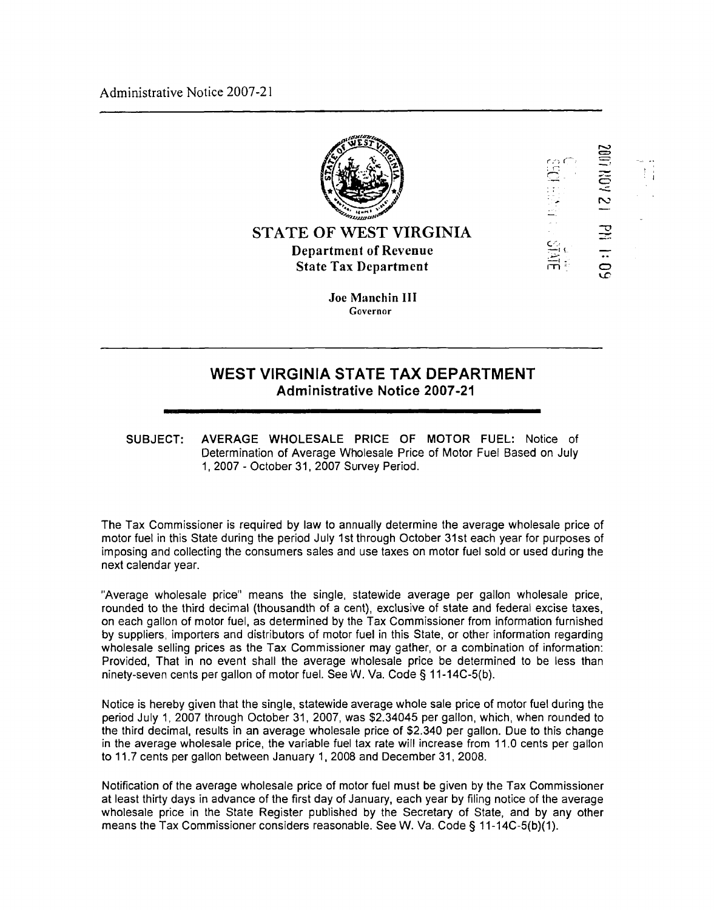Administrative Notice 2007-2 1



2 AON 100

**PH 1:09** 

**STATE OF WEST VIRGINLA Department of Revenue State Tax Department** 

> **Joe Manchin 111 Governor**

## **WEST VIRGINIA STATE TAX DEPARTMENT Administrative Notice 2007-21**

**SUBJECT: AVERAGE WHOLESALE** PRICE **OF MOTOR FUEL:** Notice of Determination of Average Wholesale Price of Motor Fuel Based on July I, 2007 - October 31. 2007 Survey Period.

The Tax Commissioner is required by law to annually determine the average wholesale price of motor fuel in this State during the period July 1st through October 31st each year for purposes of imposing and collecting the consumers sales and use taxes on motor fuel sold or used during the next calendar year.

"Average wholesale price" means the single, statewide average per gallon wholesale price, rounded to the third decimal (thousandth of a cent), exclusive of state and federal excise taxes, on each gallon of motor fuel, as determined by the Tax Commissioner from information furnished by suppliers, importers and distributors of motor fuel in this State, or other information regarding wholesale selling prices as the Tax Commissioner may gather, or a combination of information: Provided, That in no event shall the average wholesale price be determined to be less than ninety-seven cents per gallon of motor fuel. See W. Va. Code **3** 11-14C-5(b).

Notice is hereby given that the single, statewide average whole sale price of motor fuel during the period July 1, 2007 through October 31, 2007, was \$2.34045 per gallon, which, when rounded to the third decimal, results in an average wholesale price of \$2.340 per gallon. Due to this change **in** the average wholesale price, the variable fuel tax rate will increase from 11.0 cents per gallon to 11.7 cents per gallon between January 1,2008 and December 31,2008.

Notification of the average wholesale price of motor fuel must be given by the Tax Commissioner at least thirty days in advance of the first day of January, each year by filing notice of the average wholesale price in the State Register published by the Secretary of State, and by any other means the Tax Commissioner considers reasonable. See W. Va. Code **3** I I-14C-5(b)(l).